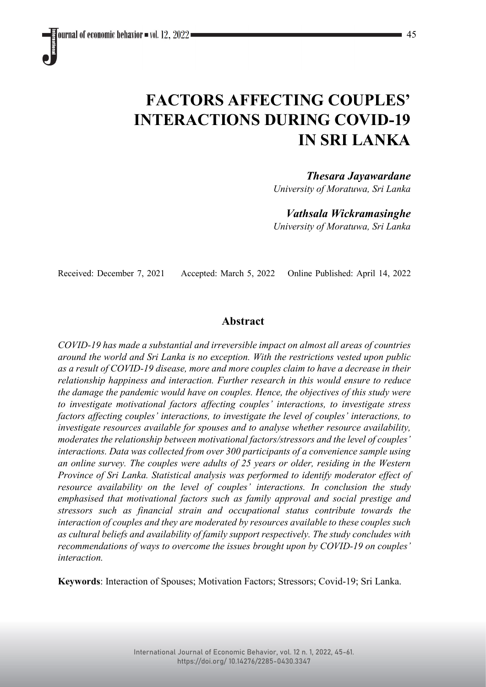# **FACTORS AFFECTING COUPLES' INTERACTIONS DURING COVID-19 IN SRI LANKA**

# *Thesara Jayawardane*

*University of Moratuwa, Sri Lanka*

# *Vathsala Wickramasinghe*

*University of Moratuwa, Sri Lanka*

Received: December 7, 2021 Accepted: March 5, 2022 Online Published: April 14, 2022

# **Abstract**

*COVID-19 has made a substantial and irreversible impact on almost all areas of countries around the world and Sri Lanka is no exception. With the restrictions vested upon public as a result of COVID-19 disease, more and more couples claim to have a decrease in their relationship happiness and interaction. Further research in this would ensure to reduce the damage the pandemic would have on couples. Hence, the objectives of this study were to investigate motivational factors affecting couples' interactions, to investigate stress factors affecting couples' interactions, to investigate the level of couples' interactions, to investigate resources available for spouses and to analyse whether resource availability, moderates the relationship between motivational factors/stressors and the level of couples' interactions. Data was collected from over 300 participants of a convenience sample using an online survey. The couples were adults of 25 years or older, residing in the Western Province of Sri Lanka. Statistical analysis was performed to identify moderator effect of resource availability on the level of couples' interactions. In conclusion the study emphasised that motivational factors such as family approval and social prestige and stressors such as financial strain and occupational status contribute towards the interaction of couples and they are moderated by resources available to these couples such as cultural beliefs and availability of family support respectively. The study concludes with recommendations of ways to overcome the issues brought upon by COVID-19 on couples' interaction.*

**Keywords**: Interaction of Spouses; Motivation Factors; Stressors; Covid-19; Sri Lanka.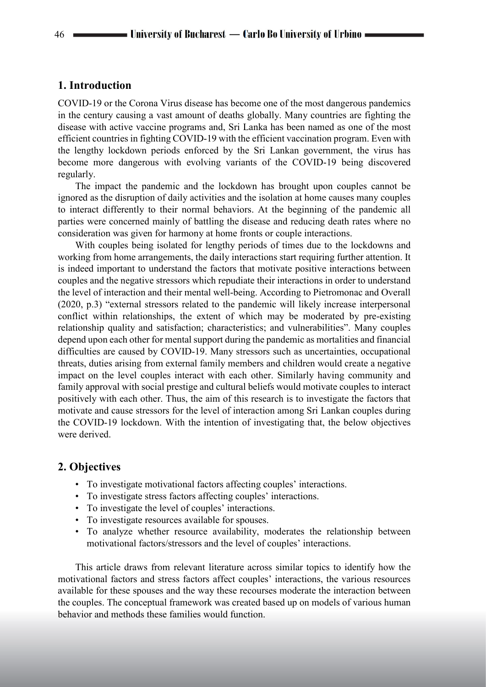# **1. Introduction**

COVID-19 or the Corona Virus disease has become one of the most dangerous pandemics in the century causing a vast amount of deaths globally. Many countries are fighting the disease with active vaccine programs and, Sri Lanka has been named as one of the most efficient countries in fighting COVID-19 with the efficient vaccination program. Even with the lengthy lockdown periods enforced by the Sri Lankan government, the virus has become more dangerous with evolving variants of the COVID-19 being discovered regularly.

The impact the pandemic and the lockdown has brought upon couples cannot be ignored as the disruption of daily activities and the isolation at home causes many couples to interact differently to their normal behaviors. At the beginning of the pandemic all parties were concerned mainly of battling the disease and reducing death rates where no consideration was given for harmony at home fronts or couple interactions.

With couples being isolated for lengthy periods of times due to the lockdowns and working from home arrangements, the daily interactions start requiring further attention. It is indeed important to understand the factors that motivate positive interactions between couples and the negative stressors which repudiate their interactions in order to understand the level of interaction and their mental well-being. According to Pietromonac and Overall (2020, p.3) "external stressors related to the pandemic will likely increase interpersonal conflict within relationships, the extent of which may be moderated by pre-existing relationship quality and satisfaction; characteristics; and vulnerabilities". Many couples depend upon each other for mental support during the pandemic as mortalities and financial difficulties are caused by COVID-19. Many stressors such as uncertainties, occupational threats, duties arising from external family members and children would create a negative impact on the level couples interact with each other. Similarly having community and family approval with social prestige and cultural beliefs would motivate couples to interact positively with each other. Thus, the aim of this research is to investigate the factors that motivate and cause stressors for the level of interaction among Sri Lankan couples during the COVID-19 lockdown. With the intention of investigating that, the below objectives were derived.

# **2. Objectives**

- To investigate motivational factors affecting couples' interactions.
- To investigate stress factors affecting couples' interactions.
- To investigate the level of couples' interactions.
- To investigate resources available for spouses.
- To analyze whether resource availability, moderates the relationship between motivational factors/stressors and the level of couples' interactions.

This article draws from relevant literature across similar topics to identify how the motivational factors and stress factors affect couples' interactions, the various resources available for these spouses and the way these recourses moderate the interaction between the couples. The conceptual framework was created based up on models of various human behavior and methods these families would function.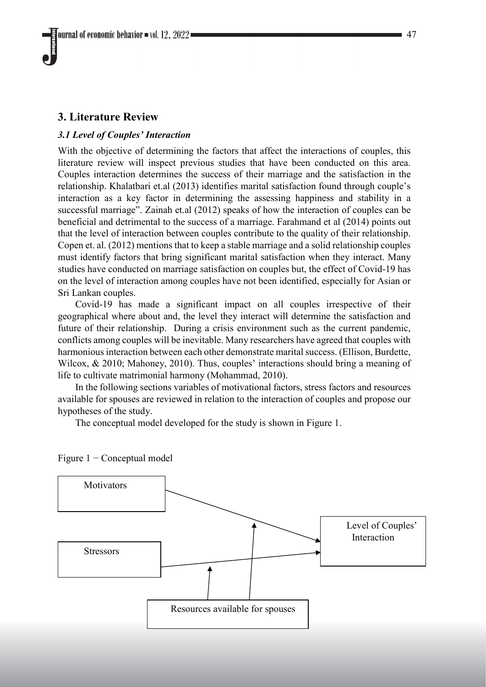# **3. Literature Review**

#### *3.1 Level of Couples' Interaction*

With the objective of determining the factors that affect the interactions of couples, this literature review will inspect previous studies that have been conducted on this area. Couples interaction determines the success of their marriage and the satisfaction in the relationship. Khalatbari et.al (2013) identifies marital satisfaction found through couple's interaction as a key factor in determining the assessing happiness and stability in a successful marriage". Zainah et.al (2012) speaks of how the interaction of couples can be beneficial and detrimental to the success of a marriage. Farahmand et al (2014) points out that the level of interaction between couples contribute to the quality of their relationship. Copen et. al. (2012) mentions that to keep a stable marriage and a solid relationship couples must identify factors that bring significant marital satisfaction when they interact. Many studies have conducted on marriage satisfaction on couples but, the effect of Covid-19 has on the level of interaction among couples have not been identified, especially for Asian or Sri Lankan couples.

Covid-19 has made a significant impact on all couples irrespective of their geographical where about and, the level they interact will determine the satisfaction and future of their relationship. During a crisis environment such as the current pandemic, conflicts among couples will be inevitable. Many researchers have agreed that couples with harmonious interaction between each other demonstrate marital success. (Ellison, Burdette, Wilcox, & 2010; Mahoney, 2010). Thus, couples' interactions should bring a meaning of life to cultivate matrimonial harmony (Mohammad, 2010).

In the following sections variables of motivational factors, stress factors and resources available for spouses are reviewed in relation to the interaction of couples and propose our hypotheses of the study.

The conceptual model developed for the study is shown in Figure 1.



Figure 1 − Conceptual model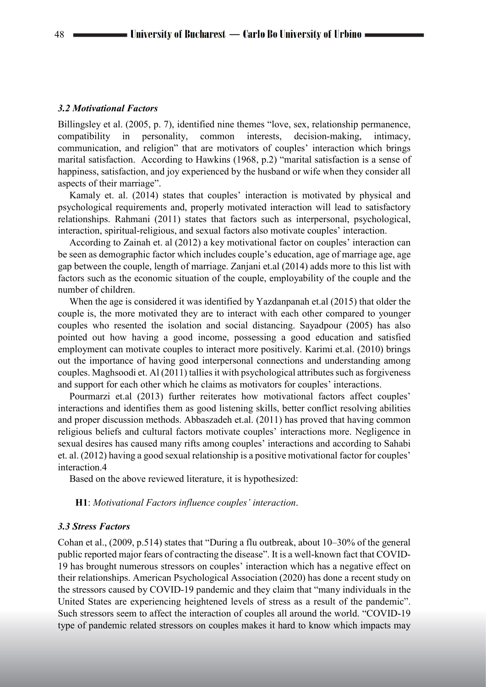#### *3.2 Motivational Factors*

Billingsley et al. (2005, p. 7), identified nine themes "love, sex, relationship permanence, compatibility in personality, common interests, decision-making, intimacy, communication, and religion" that are motivators of couples' interaction which brings marital satisfaction. According to Hawkins (1968, p.2) "marital satisfaction is a sense of happiness, satisfaction, and joy experienced by the husband or wife when they consider all aspects of their marriage".

Kamaly et. al. (2014) states that couples' interaction is motivated by physical and psychological requirements and, properly motivated interaction will lead to satisfactory relationships. Rahmani (2011) states that factors such as interpersonal, psychological, interaction, spiritual-religious, and sexual factors also motivate couples' interaction.

According to Zainah et. al (2012) a key motivational factor on couples' interaction can be seen as demographic factor which includes couple's education, age of marriage age, age gap between the couple, length of marriage. Zanjani et.al (2014) adds more to this list with factors such as the economic situation of the couple, employability of the couple and the number of children.

When the age is considered it was identified by Yazdanpanah et.al (2015) that older the couple is, the more motivated they are to interact with each other compared to younger couples who resented the isolation and social distancing. Sayadpour (2005) has also pointed out how having a good income, possessing a good education and satisfied employment can motivate couples to interact more positively. Karimi et.al. (2010) brings out the importance of having good interpersonal connections and understanding among couples. Maghsoodi et. Al (2011) tallies it with psychological attributes such as forgiveness and support for each other which he claims as motivators for couples' interactions.

Pourmarzi et.al (2013) further reiterates how motivational factors affect couples' interactions and identifies them as good listening skills, better conflict resolving abilities and proper discussion methods. Abbaszadeh et.al. (2011) has proved that having common religious beliefs and cultural factors motivate couples' interactions more. Negligence in sexual desires has caused many rifts among couples' interactions and according to Sahabi et. al. (2012) having a good sexual relationship is a positive motivational factor for couples' interaction.4

Based on the above reviewed literature, it is hypothesized:

#### **H1**: *Motivational Factors influence couples' interaction*.

#### *3.3 Stress Factors*

Cohan et al., (2009, p.514) states that "During a flu outbreak, about 10–30% of the general public reported major fears of contracting the disease". It is a well-known fact that COVID-19 has brought numerous stressors on couples' interaction which has a negative effect on their relationships. American Psychological Association (2020) has done a recent study on the stressors caused by COVID-19 pandemic and they claim that "many individuals in the United States are experiencing heightened levels of stress as a result of the pandemic". Such stressors seem to affect the interaction of couples all around the world. "COVID-19 type of pandemic related stressors on couples makes it hard to know which impacts may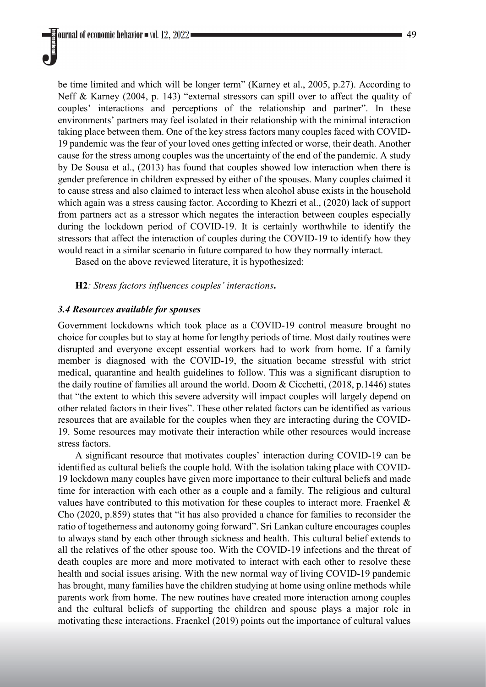be time limited and which will be longer term" (Karney et al., 2005, p.27). According to Neff & Karney (2004, p. 143) "external stressors can spill over to affect the quality of couples' interactions and perceptions of the relationship and partner". In these environments' partners may feel isolated in their relationship with the minimal interaction taking place between them. One of the key stress factors many couples faced with COVID-19 pandemic was the fear of your loved ones getting infected or worse, their death. Another cause for the stress among couples was the uncertainty of the end of the pandemic. A study by De Sousa et al., (2013) has found that couples showed low interaction when there is gender preference in children expressed by either of the spouses. Many couples claimed it to cause stress and also claimed to interact less when alcohol abuse exists in the household which again was a stress causing factor. According to Khezri et al., (2020) lack of support from partners act as a stressor which negates the interaction between couples especially during the lockdown period of COVID-19. It is certainly worthwhile to identify the stressors that affect the interaction of couples during the COVID-19 to identify how they would react in a similar scenario in future compared to how they normally interact.

Based on the above reviewed literature, it is hypothesized:

#### **H2***: Stress factors influences couples' interactions***.**

#### *3.4 Resources available for spouses*

Government lockdowns which took place as a COVID-19 control measure brought no choice for couples but to stay at home for lengthy periods of time. Most daily routines were disrupted and everyone except essential workers had to work from home. If a family member is diagnosed with the COVID-19, the situation became stressful with strict medical, quarantine and health guidelines to follow. This was a significant disruption to the daily routine of families all around the world. Doom & Cicchetti, (2018, p.1446) states that "the extent to which this severe adversity will impact couples will largely depend on other related factors in their lives". These other related factors can be identified as various resources that are available for the couples when they are interacting during the COVID-19. Some resources may motivate their interaction while other resources would increase stress factors.

A significant resource that motivates couples' interaction during COVID-19 can be identified as cultural beliefs the couple hold. With the isolation taking place with COVID-19 lockdown many couples have given more importance to their cultural beliefs and made time for interaction with each other as a couple and a family. The religious and cultural values have contributed to this motivation for these couples to interact more. Fraenkel & Cho (2020, p.859) states that "it has also provided a chance for families to reconsider the ratio of togetherness and autonomy going forward". Sri Lankan culture encourages couples to always stand by each other through sickness and health. This cultural belief extends to all the relatives of the other spouse too. With the COVID-19 infections and the threat of death couples are more and more motivated to interact with each other to resolve these health and social issues arising. With the new normal way of living COVID-19 pandemic has brought, many families have the children studying at home using online methods while parents work from home. The new routines have created more interaction among couples and the cultural beliefs of supporting the children and spouse plays a major role in motivating these interactions. Fraenkel (2019) points out the importance of cultural values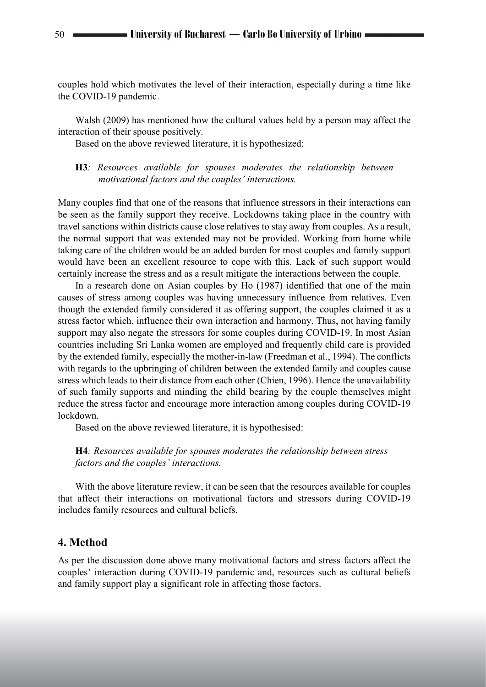couples hold which motivates the level of their interaction, especially during a time like the COVID-19 pandemic.

Walsh (2009) has mentioned how the cultural values held by a person may affect the interaction of their spouse positively.

Based on the above reviewed literature, it is hypothesized:

# **H3***: Resources available for spouses moderates the relationship between motivational factors and the couples' interactions.*

Many couples find that one of the reasons that influence stressors in their interactions can be seen as the family support they receive. Lockdowns taking place in the country with travel sanctions within districts cause close relatives to stay away from couples. As a result, the normal support that was extended may not be provided. Working from home while taking care of the children would be an added burden for most couples and family support would have been an excellent resource to cope with this. Lack of such support would certainly increase the stress and as a result mitigate the interactions between the couple.

In a research done on Asian couples by Ho (1987) identified that one of the main causes of stress among couples was having unnecessary influence from relatives. Even though the extended family considered it as offering support, the couples claimed it as a stress factor which, influence their own interaction and harmony. Thus, not having family support may also negate the stressors for some couples during COVID-19. In most Asian countries including Sri Lanka women are employed and frequently child care is provided by the extended family, especially the mother-in-law (Freedman et al., 1994). The conflicts with regards to the upbringing of children between the extended family and couples cause stress which leads to their distance from each other (Chien, 1996). Hence the unavailability of such family supports and minding the child bearing by the couple themselves might reduce the stress factor and encourage more interaction among couples during COVID-19 lockdown.

Based on the above reviewed literature, it is hypothesised:

#### **H4***: Resources available for spouses moderates the relationship between stress factors and the couples' interactions.*

With the above literature review, it can be seen that the resources available for couples that affect their interactions on motivational factors and stressors during COVID-19 includes family resources and cultural beliefs.

#### **4. Method**

As per the discussion done above many motivational factors and stress factors affect the couples' interaction during COVID-19 pandemic and, resources such as cultural beliefs and family support play a significant role in affecting those factors.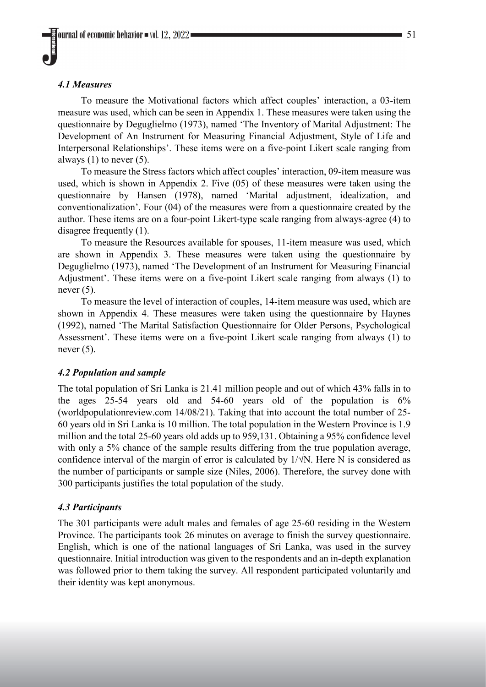# *4.1 Measures*

To measure the Motivational factors which affect couples' interaction, a 03-item measure was used, which can be seen in Appendix 1. These measures were taken using the questionnaire by Deguglielmo (1973), named 'The Inventory of Marital Adjustment: The Development of An Instrument for Measuring Financial Adjustment, Style of Life and Interpersonal Relationships'. These items were on a five-point Likert scale ranging from always  $(1)$  to never  $(5)$ .

To measure the Stress factors which affect couples' interaction, 09-item measure was used, which is shown in Appendix 2. Five (05) of these measures were taken using the questionnaire by Hansen (1978), named 'Marital adjustment, idealization, and conventionalization'. Four (04) of the measures were from a questionnaire created by the author. These items are on a four-point Likert-type scale ranging from always-agree (4) to disagree frequently (1).

To measure the Resources available for spouses, 11-item measure was used, which are shown in Appendix 3. These measures were taken using the questionnaire by Deguglielmo (1973), named 'The Development of an Instrument for Measuring Financial Adjustment'. These items were on a five-point Likert scale ranging from always (1) to never  $(5)$ .

To measure the level of interaction of couples, 14-item measure was used, which are shown in Appendix 4. These measures were taken using the questionnaire by Haynes (1992), named 'The Marital Satisfaction Questionnaire for Older Persons, Psychological Assessment'. These items were on a five-point Likert scale ranging from always (1) to never  $(5)$ .

# *4.2 Population and sample*

The total population of Sri Lanka is 21.41 million people and out of which 43% falls in to the ages 25-54 years old and 54-60 years old of the population is 6% (worldpopulationreview.com 14/08/21). Taking that into account the total number of 25- 60 years old in Sri Lanka is 10 million. The total population in the Western Province is 1.9 million and the total 25-60 years old adds up to 959,131. Obtaining a 95% confidence level with only a 5% chance of the sample results differing from the true population average, confidence interval of the margin of error is calculated by  $1/\sqrt{N}$ . Here N is considered as the number of participants or sample size (Niles, 2006). Therefore, the survey done with 300 participants justifies the total population of the study.

#### *4.3 Participants*

The 301 participants were adult males and females of age 25-60 residing in the Western Province. The participants took 26 minutes on average to finish the survey questionnaire. English, which is one of the national languages of Sri Lanka, was used in the survey questionnaire. Initial introduction was given to the respondents and an in-depth explanation was followed prior to them taking the survey. All respondent participated voluntarily and their identity was kept anonymous.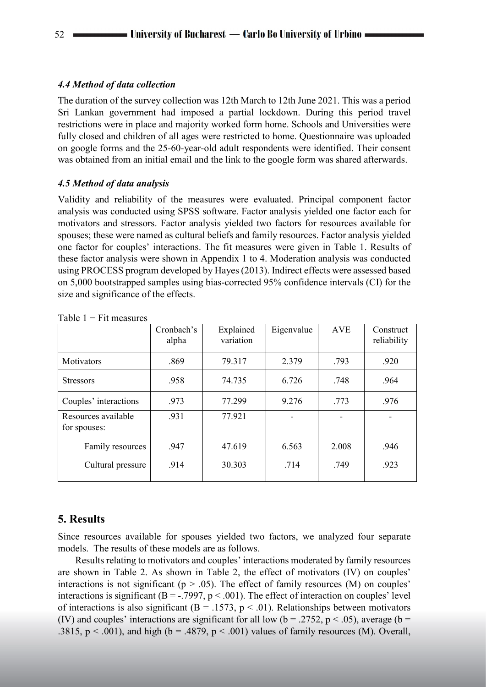# *4.4 Method of data collection*

The duration of the survey collection was 12th March to 12th June 2021. This was a period Sri Lankan government had imposed a partial lockdown. During this period travel restrictions were in place and majority worked form home. Schools and Universities were fully closed and children of all ages were restricted to home. Questionnaire was uploaded on google forms and the 25-60-year-old adult respondents were identified. Their consent was obtained from an initial email and the link to the google form was shared afterwards.

# *4.5 Method of data analysis*

Validity and reliability of the measures were evaluated. Principal component factor analysis was conducted using SPSS software. Factor analysis yielded one factor each for motivators and stressors. Factor analysis yielded two factors for resources available for spouses; these were named as cultural beliefs and family resources. Factor analysis yielded one factor for couples' interactions. The fit measures were given in Table 1. Results of these factor analysis were shown in Appendix 1 to 4. Moderation analysis was conducted using PROCESS program developed by Hayes (2013). Indirect effects were assessed based on 5,000 bootstrapped samples using bias-corrected 95% confidence intervals (CI) for the size and significance of the effects.

| Cronbach's<br>alpha | Explained<br>variation | Eigenvalue | <b>AVE</b> | Construct<br>reliability |
|---------------------|------------------------|------------|------------|--------------------------|
| .869                | 79.317                 | 2.379      | .793       | .920                     |
| .958                | 74.735                 | 6.726      | .748       | .964                     |
| .973                | 77.299                 | 9.276      | .773       | .976                     |
| .931                | 77.921                 |            |            |                          |
| .947                | 47.619                 | 6.563      | 2.008      | .946                     |
| .914                | 30.303                 | .714       | .749       | .923                     |
|                     |                        |            |            |                          |

Table  $1 - Fit$  measures

# **5. Results**

Since resources available for spouses yielded two factors, we analyzed four separate models. The results of these models are as follows.

Results relating to motivators and couples' interactions moderated by family resources are shown in Table 2. As shown in Table 2, the effect of motivators (IV) on couples' interactions is not significant ( $p > .05$ ). The effect of family resources (M) on couples' interactions is significant ( $B = -0.7997$ ,  $p < 0.001$ ). The effect of interaction on couples' level of interactions is also significant ( $B = .1573$ ,  $p < .01$ ). Relationships between motivators (IV) and couples' interactions are significant for all low ( $b = .2752$ ,  $p < .05$ ), average ( $b =$ .3815,  $p < .001$ ), and high (b = .4879,  $p < .001$ ) values of family resources (M). Overall,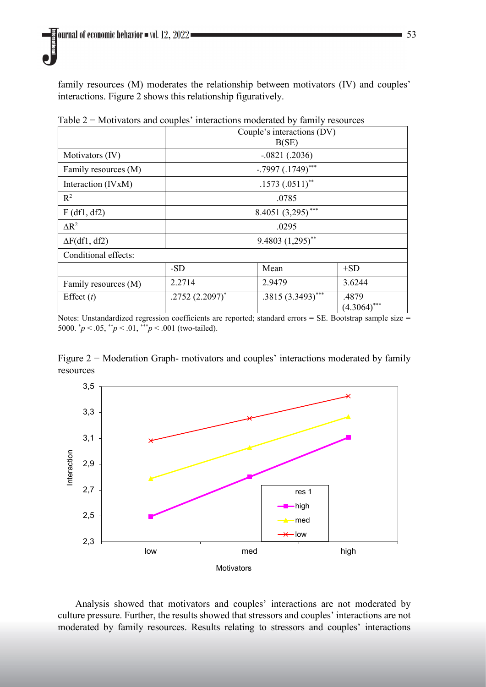family resources (M) moderates the relationship between motivators (IV) and couples' interactions. Figure 2 shows this relationship figuratively.

|                      | Couple's interactions (DV)<br>B(SE) |                   |                   |  |
|----------------------|-------------------------------------|-------------------|-------------------|--|
| Motivators (IV)      | $-.0821(.2036)$                     |                   |                   |  |
| Family resources (M) | $-.7997(.1749)$ ***                 |                   |                   |  |
| Interaction (IVxM)   | $.1573(.0511)$ **                   |                   |                   |  |
| $R^2$                | .0785                               |                   |                   |  |
| $F$ (df1, df2)       | 8.4051 $(3,295)$ ***                |                   |                   |  |
| $\Delta R^2$         | .0295                               |                   |                   |  |
| $\Delta F(df1, df2)$ | $9.4803 (1,295)$ **                 |                   |                   |  |
| Conditional effects: |                                     |                   |                   |  |
|                      | $-SD$                               | Mean              | $+SD$             |  |
| Family resources (M) | 2.2714                              | 2.9479            | 3.6244            |  |
| Effect $(t)$         | $.2752(2.2097)^*$                   | .3815 (3.3493)*** | .4879<br>(4.3064) |  |

Table 2 − Motivators and couples' interactions moderated by family resources

Notes: Unstandardized regression coefficients are reported; standard errors = SE. Bootstrap sample size = 5000. \* *p* < .05, \*\**p* < .01, \*\*\**p* < .001 (two-tailed).

Figure 2 − Moderation Graph- motivators and couples' interactions moderated by family resources



Analysis showed that motivators and couples' interactions are not moderated by culture pressure. Further, the results showed that stressors and couples' interactions are not moderated by family resources. Results relating to stressors and couples' interactions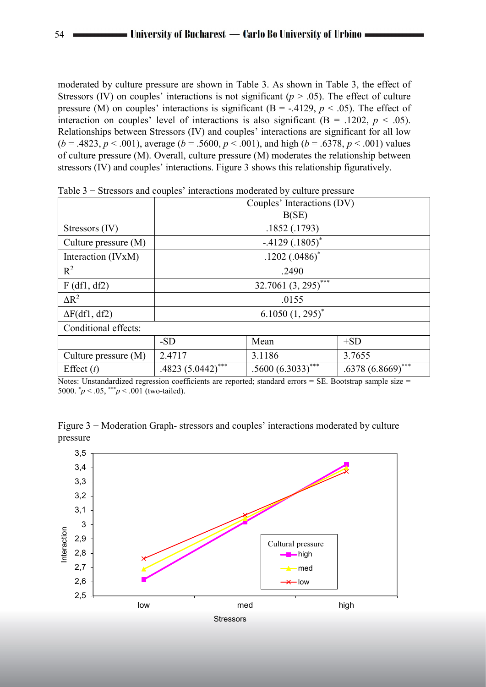moderated by culture pressure are shown in Table 3. As shown in Table 3, the effect of Stressors (IV) on couples' interactions is not significant ( $p > .05$ ). The effect of culture pressure (M) on couples' interactions is significant (B = -.4129,  $p < .05$ ). The effect of interaction on couples' level of interactions is also significant  $(B = .1202, p < .05)$ . Relationships between Stressors (IV) and couples' interactions are significant for all low  $(b = .4823, p < .001)$ , average  $(b = .5600, p < .001)$ , and high  $(b = .6378, p < .001)$  values of culture pressure (M). Overall, culture pressure (M) moderates the relationship between stressors (IV) and couples' interactions. Figure 3 shows this relationship figuratively.

|                        | Couples' Interactions (DV) |                     |                |  |
|------------------------|----------------------------|---------------------|----------------|--|
|                        | B(SE)                      |                     |                |  |
| Stressors (IV)         | .1852(.1793)               |                     |                |  |
| Culture pressure $(M)$ | $-.4129(.1805)^*$          |                     |                |  |
| Interaction (IVxM)     | $.1202(.0486)^*$           |                     |                |  |
| $R^2$                  | .2490                      |                     |                |  |
| $F$ (df1, df2)         | 32.7061 (3, 295)***        |                     |                |  |
| $\Delta R^2$           | .0155                      |                     |                |  |
| $\Delta F(df1, df2)$   | $6.1050(1, 295)^*$         |                     |                |  |
| Conditional effects:   |                            |                     |                |  |
|                        | $-SD$                      | Mean                | $+SD$          |  |
| Culture pressure (M)   | 2.4717                     | 3.1186              | 3.7655         |  |
| Effect $(t)$           | .4823 $(5.0442)$ ***       | $.5600(6.3033)$ *** | .6378 (6.8669) |  |
|                        |                            |                     |                |  |

Table 3 − Stressors and couples' interactions moderated by culture pressure

Notes: Unstandardized regression coefficients are reported; standard errors = SE. Bootstrap sample size = 5000.  $\gamma p < .05$ ,  $\gamma p < .001$  (two-tailed).

Figure 3 − Moderation Graph- stressors and couples' interactions moderated by culture pressure

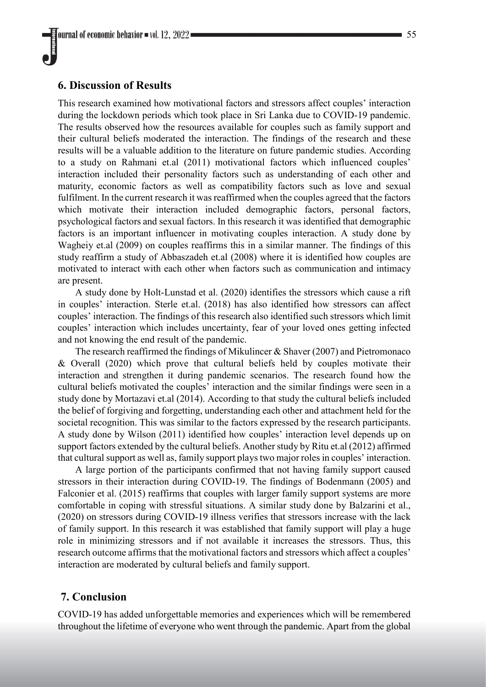# **6. Discussion of Results**

This research examined how motivational factors and stressors affect couples' interaction during the lockdown periods which took place in Sri Lanka due to COVID-19 pandemic. The results observed how the resources available for couples such as family support and their cultural beliefs moderated the interaction. The findings of the research and these results will be a valuable addition to the literature on future pandemic studies. According to a study on Rahmani et.al (2011) motivational factors which influenced couples' interaction included their personality factors such as understanding of each other and maturity, economic factors as well as compatibility factors such as love and sexual fulfilment. In the current research it was reaffirmed when the couples agreed that the factors which motivate their interaction included demographic factors, personal factors, psychological factors and sexual factors. In this research it was identified that demographic factors is an important influencer in motivating couples interaction. A study done by Wagheiy et.al (2009) on couples reaffirms this in a similar manner. The findings of this study reaffirm a study of Abbaszadeh et.al (2008) where it is identified how couples are motivated to interact with each other when factors such as communication and intimacy are present.

A study done by Holt-Lunstad et al. (2020) identifies the stressors which cause a rift in couples' interaction. Sterle et.al. (2018) has also identified how stressors can affect couples' interaction. The findings of this research also identified such stressors which limit couples' interaction which includes uncertainty, fear of your loved ones getting infected and not knowing the end result of the pandemic.

The research reaffirmed the findings of Mikulincer & Shaver (2007) and Pietromonaco & Overall (2020) which prove that cultural beliefs held by couples motivate their interaction and strengthen it during pandemic scenarios. The research found how the cultural beliefs motivated the couples' interaction and the similar findings were seen in a study done by Mortazavi et.al (2014). According to that study the cultural beliefs included the belief of forgiving and forgetting, understanding each other and attachment held for the societal recognition. This was similar to the factors expressed by the research participants. A study done by Wilson (2011) identified how couples' interaction level depends up on support factors extended by the cultural beliefs. Another study by Ritu et.al (2012) affirmed that cultural support as well as, family support plays two major roles in couples' interaction.

A large portion of the participants confirmed that not having family support caused stressors in their interaction during COVID-19. The findings of Bodenmann (2005) and Falconier et al. (2015) reaffirms that couples with larger family support systems are more comfortable in coping with stressful situations. A similar study done by Balzarini et al., (2020) on stressors during COVID-19 illness verifies that stressors increase with the lack of family support. In this research it was established that family support will play a huge role in minimizing stressors and if not available it increases the stressors. Thus, this research outcome affirms that the motivational factors and stressors which affect a couples' interaction are moderated by cultural beliefs and family support.

# **7. Conclusion**

COVID-19 has added unforgettable memories and experiences which will be remembered throughout the lifetime of everyone who went through the pandemic. Apart from the global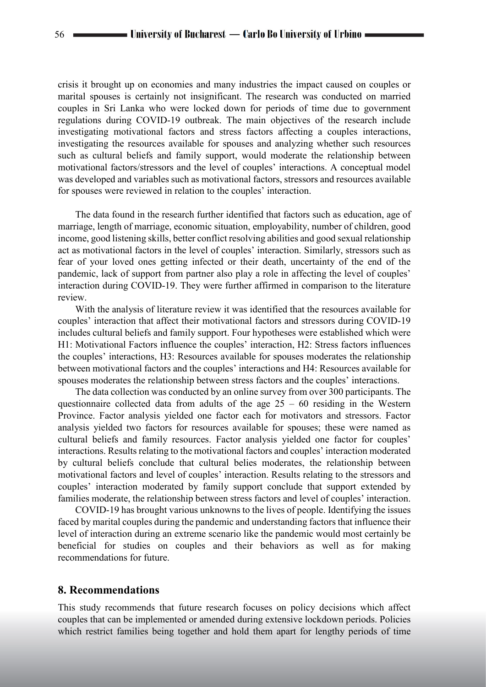crisis it brought up on economies and many industries the impact caused on couples or marital spouses is certainly not insignificant. The research was conducted on married couples in Sri Lanka who were locked down for periods of time due to government regulations during COVID-19 outbreak. The main objectives of the research include investigating motivational factors and stress factors affecting a couples interactions, investigating the resources available for spouses and analyzing whether such resources such as cultural beliefs and family support, would moderate the relationship between motivational factors/stressors and the level of couples' interactions. A conceptual model was developed and variables such as motivational factors, stressors and resources available for spouses were reviewed in relation to the couples' interaction.

The data found in the research further identified that factors such as education, age of marriage, length of marriage, economic situation, employability, number of children, good income, good listening skills, better conflict resolving abilities and good sexual relationship act as motivational factors in the level of couples' interaction. Similarly, stressors such as fear of your loved ones getting infected or their death, uncertainty of the end of the pandemic, lack of support from partner also play a role in affecting the level of couples' interaction during COVID-19. They were further affirmed in comparison to the literature review.

With the analysis of literature review it was identified that the resources available for couples' interaction that affect their motivational factors and stressors during COVID-19 includes cultural beliefs and family support. Four hypotheses were established which were H1: Motivational Factors influence the couples' interaction, H2: Stress factors influences the couples' interactions, H3: Resources available for spouses moderates the relationship between motivational factors and the couples' interactions and H4: Resources available for spouses moderates the relationship between stress factors and the couples' interactions.

The data collection was conducted by an online survey from over 300 participants. The questionnaire collected data from adults of the age  $25 - 60$  residing in the Western Province. Factor analysis yielded one factor each for motivators and stressors. Factor analysis yielded two factors for resources available for spouses; these were named as cultural beliefs and family resources. Factor analysis yielded one factor for couples' interactions. Results relating to the motivational factors and couples' interaction moderated by cultural beliefs conclude that cultural belies moderates, the relationship between motivational factors and level of couples' interaction. Results relating to the stressors and couples' interaction moderated by family support conclude that support extended by families moderate, the relationship between stress factors and level of couples' interaction.

COVID-19 has brought various unknowns to the lives of people. Identifying the issues faced by marital couples during the pandemic and understanding factors that influence their level of interaction during an extreme scenario like the pandemic would most certainly be beneficial for studies on couples and their behaviors as well as for making recommendations for future.

#### **8. Recommendations**

This study recommends that future research focuses on policy decisions which affect couples that can be implemented or amended during extensive lockdown periods. Policies which restrict families being together and hold them apart for lengthy periods of time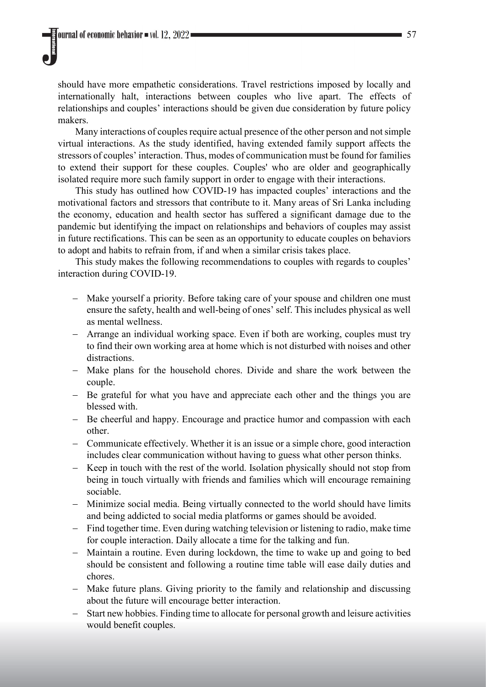should have more empathetic considerations. Travel restrictions imposed by locally and internationally halt, interactions between couples who live apart. The effects of relationships and couples' interactions should be given due consideration by future policy makers.

Many interactions of couples require actual presence of the other person and not simple virtual interactions. As the study identified, having extended family support affects the stressors of couples' interaction. Thus, modes of communication must be found for families to extend their support for these couples. Couples' who are older and geographically isolated require more such family support in order to engage with their interactions.

This study has outlined how COVID-19 has impacted couples' interactions and the motivational factors and stressors that contribute to it. Many areas of Sri Lanka including the economy, education and health sector has suffered a significant damage due to the pandemic but identifying the impact on relationships and behaviors of couples may assist in future rectifications. This can be seen as an opportunity to educate couples on behaviors to adopt and habits to refrain from, if and when a similar crisis takes place.

This study makes the following recommendations to couples with regards to couples' interaction during COVID-19.

- − Make yourself a priority. Before taking care of your spouse and children one must ensure the safety, health and well-being of ones' self. This includes physical as well as mental wellness.
- − Arrange an individual working space. Even if both are working, couples must try to find their own working area at home which is not disturbed with noises and other distractions.
- − Make plans for the household chores. Divide and share the work between the couple.
- − Be grateful for what you have and appreciate each other and the things you are blessed with.
- − Be cheerful and happy. Encourage and practice humor and compassion with each other.
- − Communicate effectively. Whether it is an issue or a simple chore, good interaction includes clear communication without having to guess what other person thinks.
- − Keep in touch with the rest of the world. Isolation physically should not stop from being in touch virtually with friends and families which will encourage remaining sociable.
- − Minimize social media. Being virtually connected to the world should have limits and being addicted to social media platforms or games should be avoided.
- − Find together time. Even during watching television or listening to radio, make time for couple interaction. Daily allocate a time for the talking and fun.
- − Maintain a routine. Even during lockdown, the time to wake up and going to bed should be consistent and following a routine time table will ease daily duties and chores.
- − Make future plans. Giving priority to the family and relationship and discussing about the future will encourage better interaction.
- Start new hobbies. Finding time to allocate for personal growth and leisure activities would benefit couples.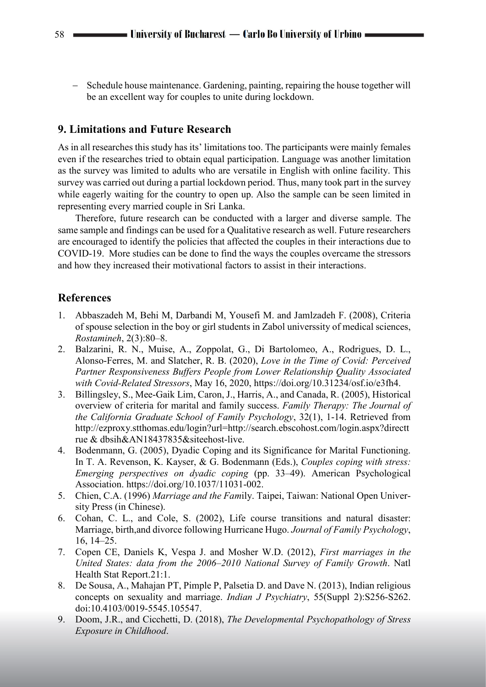− Schedule house maintenance. Gardening, painting, repairing the house together will be an excellent way for couples to unite during lockdown.

# **9. Limitations and Future Research**

As in all researches this study has its' limitations too. The participants were mainly females even if the researches tried to obtain equal participation. Language was another limitation as the survey was limited to adults who are versatile in English with online facility. This survey was carried out during a partial lockdown period. Thus, many took part in the survey while eagerly waiting for the country to open up. Also the sample can be seen limited in representing every married couple in Sri Lanka.

Therefore, future research can be conducted with a larger and diverse sample. The same sample and findings can be used for a Qualitative research as well. Future researchers are encouraged to identify the policies that affected the couples in their interactions due to COVID-19. More studies can be done to find the ways the couples overcame the stressors and how they increased their motivational factors to assist in their interactions.

# **References**

- 1. Abbaszadeh M, Behi M, Darbandi M, Yousefi M. and Jamlzadeh F. (2008), Criteria of spouse selection in the boy or girl students in Zabol universsity of medical sciences, *Rostamineh*, 2(3):80–8.
- 2. Balzarini, R. N., Muise, A., Zoppolat, G., Di Bartolomeo, A., Rodrigues, D. L., Alonso-Ferres, M. and Slatcher, R. B. (2020), *Love in the Time of Covid: Perceived Partner Responsiveness Buffers People from Lower Relationship Quality Associated with Covid-Related Stressors*, May 16, 2020, https://doi.org/10.31234/osf.io/e3fh4.
- 3. Billingsley, S., Mee-Gaik Lim, Caron, J., Harris, A., and Canada, R. (2005), Historical overview of criteria for marital and family success. *Family Therapy: The Journal of the California Graduate School of Family Psychology*, 32(1), 1-14. Retrieved from http://ezproxy.stthomas.edu/login?url=http://search.ebscohost.com/login.aspx?directt rue & dbsih&AN18437835&siteehost-live.
- 4. Bodenmann, G. (2005), Dyadic Coping and its Significance for Marital Functioning. In T. A. Revenson, K. Kayser, & G. Bodenmann (Eds.), *Couples coping with stress: Emerging perspectives on dyadic coping* (pp. 33–49). American Psychological Association. https://doi.org/10.1037/11031-002.
- 5. Chien, C.A. (1996) *Marriage and the Fam*ily. Taipei, Taiwan: National Open University Press (in Chinese).
- 6. Cohan, C. L., and Cole, S. (2002), Life course transitions and natural disaster: Marriage, birth,and divorce following Hurricane Hugo. *Journal of Family Psychology*, 16, 14–25.
- 7. Copen CE, Daniels K, Vespa J. and Mosher W.D. (2012), *First marriages in the United States: data from the 2006–2010 National Survey of Family Growth*. Natl Health Stat Report.21:1.
- 8. De Sousa, A., Mahajan PT, Pimple P, Palsetia D. and Dave N. (2013), Indian religious concepts on sexuality and marriage. *Indian J Psychiatry*, 55(Suppl 2):S256-S262. doi:10.4103/0019-5545.105547.
- 9. Doom, J.R., and Cicchetti, D. (2018), *The Developmental Psychopathology of Stress Exposure in Childhood*.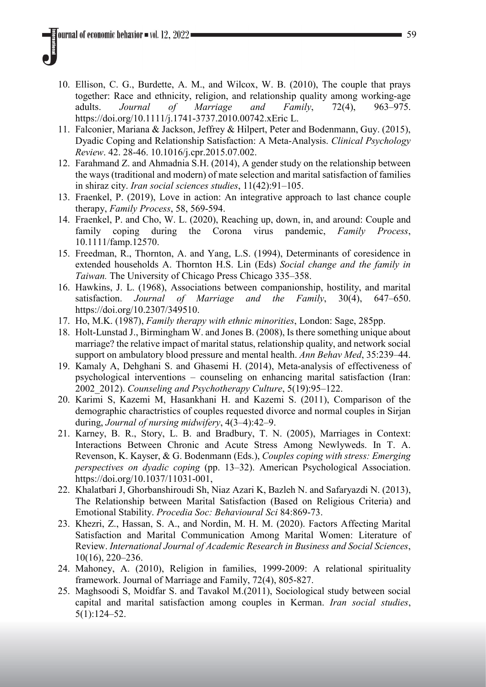- 10. Ellison, C. G., Burdette, A. M., and Wilcox, W. B. (2010), The couple that prays together: Race and ethnicity, religion, and relationship quality among working-age adults. *Journal of Marriage and Family*, 72(4), 963–975. https://doi.org/10.1111/j.1741-3737.2010.00742.xEric L.
- 11. Falconier, Mariana & Jackson, Jeffrey & Hilpert, Peter and Bodenmann, Guy. (2015), Dyadic Coping and Relationship Satisfaction: A Meta-Analysis. *Clinical Psychology Review*. 42. 28-46. 10.1016/j.cpr.2015.07.002.
- 12. Farahmand Z. and Ahmadnia S.H. (2014), A gender study on the relationship between the ways (traditional and modern) of mate selection and marital satisfaction of families in shiraz city. *Iran social sciences studies*, 11(42):91–105.
- 13. Fraenkel, P. (2019), Love in action: An integrative approach to last chance couple therapy, *Family Process*, 58, 569-594.
- 14. Fraenkel, P. and Cho, W. L. (2020), Reaching up, down, in, and around: Couple and family coping during the Corona virus pandemic, *Family Process*, 10.1111/famp.12570.
- 15. Freedman, R., Thornton, A. and Yang, L.S. (1994), Determinants of coresidence in extended households A. Thornton H.S. Lin (Eds) *Social change and the family in Taiwan.* The University of Chicago Press Chicago 335–358.
- 16. Hawkins, J. L. (1968), Associations between companionship, hostility, and marital satisfaction. *Journal of Marriage and the Family*, 30(4), 647–650. https://doi.org/10.2307/349510.
- 17. Ho, M.K. (1987), *Family therapy with ethnic minorities*, London: Sage, 285pp.
- 18. Holt-Lunstad J., Birmingham W. and Jones B. (2008), Is there something unique about marriage? the relative impact of marital status, relationship quality, and network social support on ambulatory blood pressure and mental health. *Ann Behav Med*, 35:239–44.
- 19. Kamaly A, Dehghani S. and Ghasemi H. (2014), Meta-analysis of effectiveness of psychological interventions – counseling on enhancing marital satisfaction (Iran: 2002\_2012). *Counseling and Psychotherapy Culture*, 5(19):95–122.
- 20. Karimi S, Kazemi M, Hasankhani H. and Kazemi S. (2011), Comparison of the demographic charactristics of couples requested divorce and normal couples in Sirjan during, *Journal of nursing midwifery*, 4(3–4):42–9.
- 21. Karney, B. R., Story, L. B. and Bradbury, T. N. (2005), Marriages in Context: Interactions Between Chronic and Acute Stress Among Newlyweds. In T. A. Revenson, K. Kayser, & G. Bodenmann (Eds.), *Couples coping with stress: Emerging perspectives on dyadic coping* (pp. 13–32). American Psychological Association. https://doi.org/10.1037/11031-001,
- 22. Khalatbari J, Ghorbanshiroudi Sh, Niaz Azari K, Bazleh N. and Safaryazdi N. (2013), The Relationship between Marital Satisfaction (Based on Religious Criteria) and Emotional Stability. *Procedia Soc: Behavioural Sci* 84:869-73.
- 23. Khezri, Z., Hassan, S. A., and Nordin, M. H. M. (2020). Factors Affecting Marital Satisfaction and Marital Communication Among Marital Women: Literature of Review. *International Journal of Academic Research in Business and Social Sciences*, 10(16), 220–236.
- 24. Mahoney, A. (2010), Religion in families, 1999-2009: A relational spirituality framework. Journal of Marriage and Family, 72(4), 805-827.
- 25. Maghsoodi S, Moidfar S. and Tavakol M.(2011), Sociological study between social capital and marital satisfaction among couples in Kerman. *Iran social studies*, 5(1):124–52.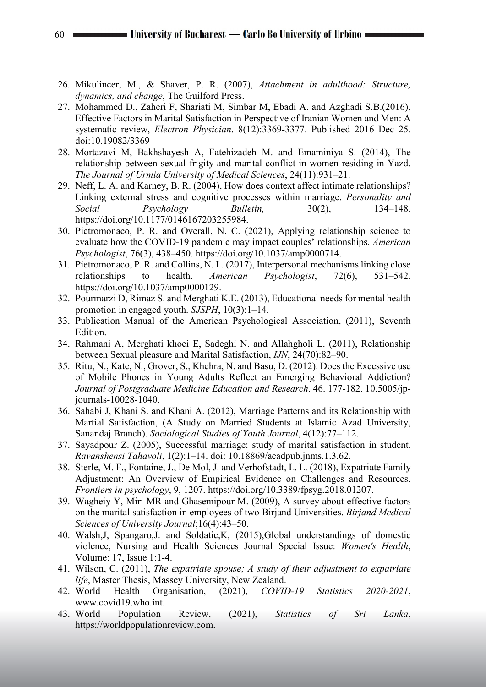- 26. Mikulincer, M., & Shaver, P. R. (2007), *Attachment in adulthood: Structure, dynamics, and change*, The Guilford Press.
- 27. Mohammed D., Zaheri F, Shariati M, Simbar M, Ebadi A. and Azghadi S.B.(2016), Effective Factors in Marital Satisfaction in Perspective of Iranian Women and Men: A systematic review, *Electron Physician*. 8(12):3369-3377. Published 2016 Dec 25. doi:10.19082/3369
- 28. Mortazavi M, Bakhshayesh A, Fatehizadeh M. and Emaminiya S. (2014), The relationship between sexual frigity and marital conflict in women residing in Yazd. *The Journal of Urmia University of Medical Sciences*, 24(11):931–21.
- 29. Neff, L. A. and Karney, B. R. (2004), How does context affect intimate relationships? Linking external stress and cognitive processes within marriage. *Personality and Social Psychology Bulletin,* 30(2), 134–148. https://doi.org/10.1177/0146167203255984.
- 30. Pietromonaco, P. R. and Overall, N. C. (2021), Applying relationship science to evaluate how the COVID-19 pandemic may impact couples' relationships. *American Psychologist*, 76(3), 438–450. https://doi.org/10.1037/amp0000714.
- 31. Pietromonaco, P. R. and Collins, N. L. (2017), Interpersonal mechanisms linking close relationships to health. *American Psychologist*, 72(6), 531–542. https://doi.org/10.1037/amp0000129.
- 32. Pourmarzi D, Rimaz S. and Merghati K.E. (2013), Educational needs for mental health promotion in engaged youth. *SJSPH*, 10(3):1–14.
- 33. Publication Manual of the American Psychological Association, (2011), Seventh Edition.
- 34. Rahmani A, Merghati khoei E, Sadeghi N. and Allahgholi L. (2011), Relationship between Sexual pleasure and Marital Satisfaction, *IJN*, 24(70):82–90.
- 35. Ritu, N., Kate, N., Grover, S., Khehra, N. and Basu, D. (2012). Does the Excessive use of Mobile Phones in Young Adults Reflect an Emerging Behavioral Addiction? *Journal of Postgraduate Medicine Education and Research*. 46. 177-182. 10.5005/jpjournals-10028-1040.
- 36. Sahabi J, Khani S. and Khani A. (2012), Marriage Patterns and its Relationship with Martial Satisfaction, (A Study on Married Students at Islamic Azad University, Sanandaj Branch). *Sociological Studies of Youth Journal*, 4(12):77–112.
- 37. Sayadpour Z. (2005), Successful marriage: study of marital satisfaction in student. *Ravanshensi Tahavoli*, 1(2):1–14. doi: 10.18869/acadpub.jnms.1.3.62.
- 38. Sterle, M. F., Fontaine, J., De Mol, J. and Verhofstadt, L. L. (2018), Expatriate Family Adjustment: An Overview of Empirical Evidence on Challenges and Resources. *Frontiers in psychology*, 9, 1207. https://doi.org/10.3389/fpsyg.2018.01207.
- 39. Wagheiy Y, Miri MR and Ghasemipour M. (2009), A survey about effective factors on the marital satisfaction in employees of two Birjand Universities. *Birjand Medical Sciences of University Journal*;16(4):43–50.
- 40. Walsh,J, Spangaro,J. and Soldatic,K, (2015),Global understandings of domestic violence, Nursing and Health Sciences Journal Special Issue: *Women's Health*, Volume: 17, Issue 1:1-4.
- 41. Wilson, C. (2011), *The expatriate spouse; A study of their adjustment to expatriate life*, Master Thesis, Massey University, New Zealand.
- 42. World Health Organisation, (2021), *COVID-19 Statistics 2020-2021*, www.covid19.who.int.
- 43. World Population Review, (2021), *Statistics of Sri Lanka*, https://worldpopulationreview.com.